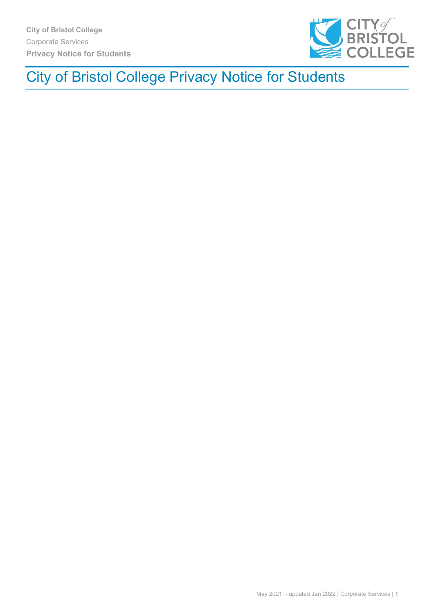

# City of Bristol College Privacy Notice for Students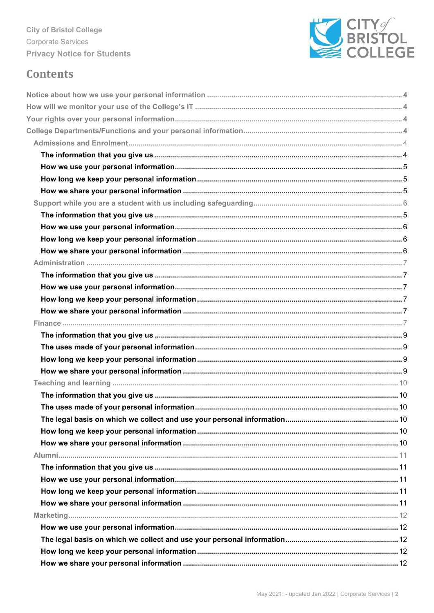

## **Contents**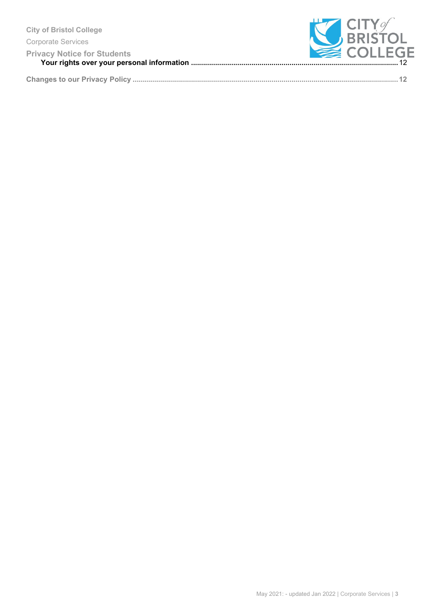|--|--|--|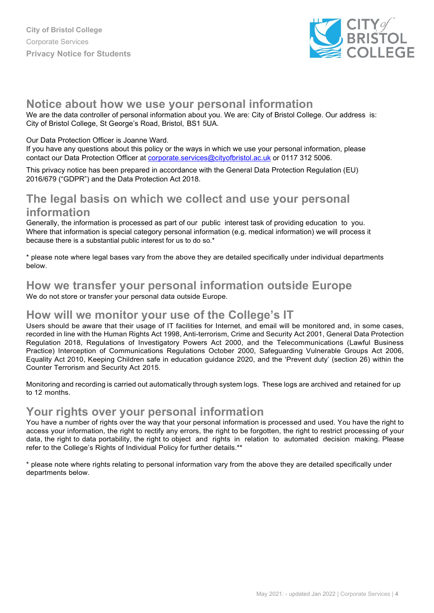

### <span id="page-3-0"></span>**Notice about how we use your personal information**

We are the data controller of personal information about you. We are: City of Bristol College. Our address is: City of Bristol College, St George's Road, Bristol, BS1 5UA.

#### Our Data Protection Officer is Joanne Ward.

If you have any questions about this policy or the ways in which we use your personal information, please contact our Data Protection Officer at [corporate.services@cityofbristol.ac.uk](mailto:corporate.services@cityofbristol.ac.uk) or 0117 312 5006.

This privacy notice has been prepared in accordance with the General Data Protection Regulation (EU) 2016/679 ("GDPR") and the Data Protection Act 2018.

### **[The legal basis on which we collect and use your personal](#page-4-4) [information](#page-4-4)**

Generally, the information is processed as part of our public interest task of providing education to you. Where that information is special category personal information (e.g. medical information) we will process it because there is a substantial public interest for us to do so.\*

\* please note where legal bases vary from the above they are detailed specifically under individual departments below.

### **[How we transfer your personal information outside Europe](#page-5-0)**

We do not store or transfer your personal data outside Europe.

### <span id="page-3-1"></span>**[How will we monitor your use of the College's IT](#page-5-0)**

Users should be aware that their usage of IT facilities for Internet, and email will be monitored and, in some cases, recorded in line with the Human Rights Act 1998, Anti-terrorism, Crime and Security Act 2001, General Data Protection Regulation 2018, Regulations of Investigatory Powers Act 2000, and the Telecommunications (Lawful Business Practice) Interception of Communications Regulations October 2000, Safeguarding Vulnerable Groups Act 2006, Equality Act 2010, Keeping Children safe in education guidance 2020, and the 'Prevent duty' (section 26) within the Counter Terrorism and Security Act 2015.

Monitoring and recording is carried out automatically through system logs. These logs are archived and retained for up to 12 months.

#### <span id="page-3-2"></span>**[Your rights over your personal information](#page-5-0)**

You have a number of rights over the way that your personal information is processed and used. You have the right to access your information, the right to rectify any errors, the right to be forgotten, the right to restrict processing of your data, the right to data portability, the right to object and rights in relation to automated decision making. Please refer to the College's Rights of Individual Policy for further details.\*\*

\* please note where rights relating to personal information vary from the above they are detailed specifically under departments below.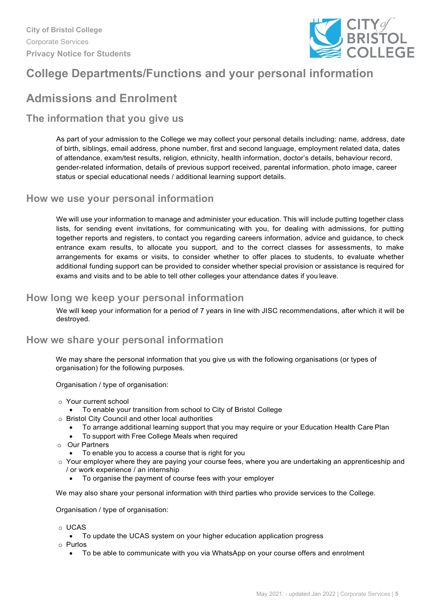

## <span id="page-4-0"></span>**College Departments/Functions and your personal information**

## <span id="page-4-1"></span>**Admissions and Enrolment**

#### <span id="page-4-2"></span>**The information that you give us**

As part of your admission to the College we may collect your personal details including: name, address, date of birth, siblings, email address, phone number, first and second language, employment related data, dates of attendance, exam/test results, religion, ethnicity, health information, doctor's details, behaviour record, gender-related information, details of previous support received, parental information, photo image, career status or special educational needs / additional learning support details.

#### <span id="page-4-3"></span>**How we use your personal information**

We will use your information to manage and administer your education. This will include putting together class lists, for sending event invitations, for communicating with you, for dealing with admissions, for putting together reports and registers, to contact you regarding careers information, advice and guidance, to check entrance exam results, to allocate you support, and to the correct classes for assessments, to make arrangements for exams or visits, to consider whether to offer places to students, to evaluate whether additional funding support can be provided to consider whether special provision or assistance is required for exams and visits and to be able to tell other colleges your attendance dates if you leave.

#### <span id="page-4-4"></span>**How long we keep your personal information**

We will keep your information for a period of 7 years in line with JISC recommendations, after which it will be destroyed.

#### <span id="page-4-5"></span>**How we share your personal information**

We may share the personal information that you give us with the following organisations (or types of organisation) for the following purposes.

Organisation / type of organisation:

- o Your current school
	- To enable your transition from school to City of Bristol College
- o Bristol City Council and other local authorities
	- To arrange additional learning support that you may require or your Education Health Care Plan
	- To support with Free College Meals when required
- o Our Partners
	- To enable you to access a course that is right for you
- $\circ$  Your employer where they are paying your course fees, where you are undertaking an apprenticeship and / or work experience / an internship
	- To organise the payment of course fees with your employer

We may also share your personal information with third parties who provide services to the College.

Organisation / type of organisation:

- o UCAS
	- To update the UCAS system on your higher education application progress
- o Purlos
	- To be able to communicate with you via WhatsApp on your course offers and enrolment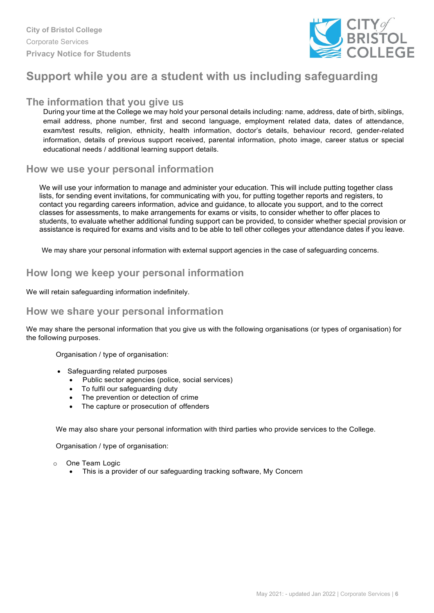

### <span id="page-5-0"></span>**Support while you are a student with us including safeguarding**

#### <span id="page-5-1"></span>**The information that you give us**

During your time at the College we may hold your personal details including: name, address, date of birth, siblings, email address, phone number, first and second language, employment related data, dates of attendance, exam/test results, religion, ethnicity, health information, doctor's details, behaviour record, gender-related information, details of previous support received, parental information, photo image, career status or special educational needs / additional learning support details.

#### <span id="page-5-2"></span>**How we use your personal information**

We will use your information to manage and administer your education. This will include putting together class lists, for sending event invitations, for communicating with you, for putting together reports and registers, to contact you regarding careers information, advice and guidance, to allocate you support, and to the correct classes for assessments, to make arrangements for exams or visits, to consider whether to offer places to students, to evaluate whether additional funding support can be provided, to consider whether special provision or assistance is required for exams and visits and to be able to tell other colleges your attendance dates if you leave.

We may share your personal information with external support agencies in the case of safeguarding concerns.

#### <span id="page-5-3"></span>**How long we keep your personal information**

We will retain safeguarding information indefinitely.

#### <span id="page-5-4"></span>**How we share your personal information**

We may share the personal information that you give us with the following organisations (or types of organisation) for the following purposes.

Organisation / type of organisation:

- Safeguarding related purposes
	- Public sector agencies (police, social services)
	- To fulfil our safeguarding duty
	- The prevention or detection of crime
	- The capture or prosecution of offenders

We may also share your personal information with third parties who provide services to the College.

Organisation / type of organisation:

- o One Team Logic
	- This is a provider of our safeguarding tracking software, My Concern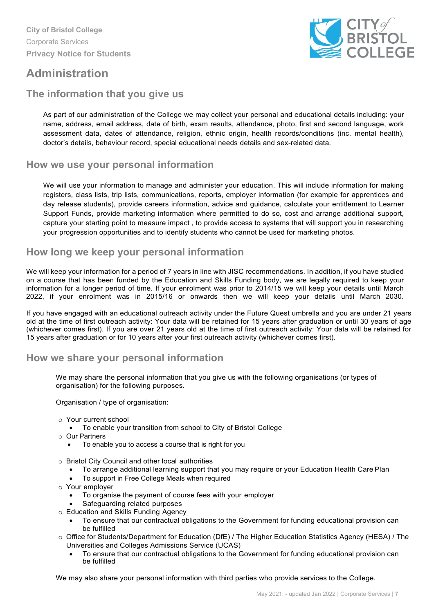

### <span id="page-6-0"></span>**Administration**

### <span id="page-6-1"></span>**The information that you give us**

As part of our administration of the College we may collect your personal and educational details including: your name, address, email address, date of birth, exam results, attendance, photo, first and second language, work assessment data, dates of attendance, religion, ethnic origin, health records/conditions (inc. mental health), doctor's details, behaviour record, special educational needs details and sex-related data.

#### <span id="page-6-2"></span>**How we use your personal information**

We will use your information to manage and administer your education. This will include information for making registers, class lists, trip lists, communications, reports, employer information (for example for apprentices and day release students), provide careers information, advice and guidance, calculate your entitlement to Learner Support Funds, provide marketing information where permitted to do so, cost and arrange additional support, capture your starting point to measure impact , to provide access to systems that will support you in researching your progression opportunities and to identify students who cannot be used for marketing photos.

#### <span id="page-6-3"></span>**How long we keep your personal information**

We will keep your information for a period of 7 years in line with JISC recommendations. In addition, if you have studied on a course that has been funded by the Education and Skills Funding body, we are legally required to keep your information for a longer period of time. If your enrolment was prior to 2014/15 we will keep your details until March 2022, if your enrolment was in 2015/16 or onwards then we will keep your details until March 2030.

If you have engaged with an educational outreach activity under the Future Quest umbrella and you are under 21 years old at the time of first outreach activity: Your data will be retained for 15 years after graduation or until 30 years of age (whichever comes first). If you are over 21 years old at the time of first outreach activity: Your data will be retained for 15 years after graduation or for 10 years after your first outreach activity (whichever comes first).

#### <span id="page-6-4"></span>**How we share your personal information**

We may share the personal information that you give us with the following organisations (or types of organisation) for the following purposes.

Organisation / type of organisation:

- o Your current school
	- To enable your transition from school to City of Bristol College
- o Our Partners
	- To enable you to access a course that is right for you
- o Bristol City Council and other local authorities
	- To arrange additional learning support that you may require or your Education Health Care Plan
	- To support in Free College Meals when required
- o Your employer
	- To organise the payment of course fees with your employer
	- Safeguarding related purposes
- o Education and Skills Funding Agency
- To ensure that our contractual obligations to the Government for funding educational provision can be fulfilled
- o Office for Students/Department for Education (DfE) / The Higher Education Statistics Agency (HESA) / The Universities and Colleges Admissions Service (UCAS)
	- To ensure that our contractual obligations to the Government for funding educational provision can be fulfilled

We may also share your personal information with third parties who provide services to the College.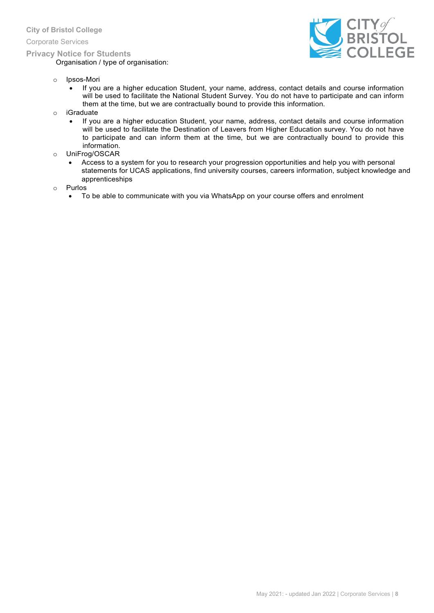Corporate Services

#### **Privacy Notice for Students**

Organisation / type of organisation:



- o Ipsos-Mori
	- If you are a higher education Student, your name, address, contact details and course information will be used to facilitate the National Student Survey. You do not have to participate and can inform them at the time, but we are contractually bound to provide this information.
- o iGraduate
	- If you are a higher education Student, your name, address, contact details and course information will be used to facilitate the Destination of Leavers from Higher Education survey. You do not have to participate and can inform them at the time, but we are contractually bound to provide this information.
- o UniFrog/OSCAR
	- Access to a system for you to research your progression opportunities and help you with personal statements for UCAS applications, find university courses, careers information, subject knowledge and apprenticeships
- o Purlos
	- To be able to communicate with you via WhatsApp on your course offers and enrolment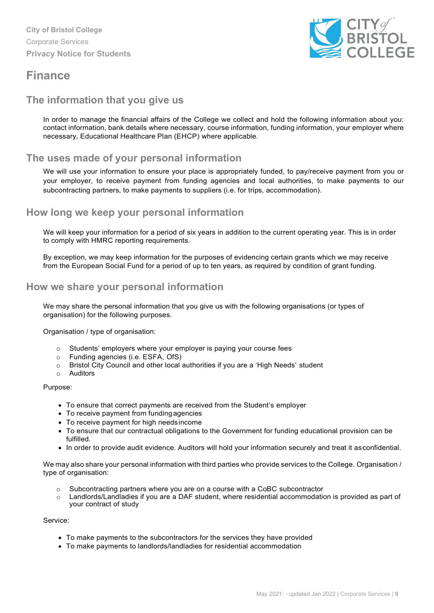

### <span id="page-8-0"></span>**Finance**

#### <span id="page-8-1"></span>**The information that you give us**

In order to manage the financial affairs of the College we collect and hold the following information about you: contact information, bank details where necessary, course information, funding information, your employer where necessary, Educational Healthcare Plan (EHCP) where applicable.

#### <span id="page-8-2"></span>**The uses made of your personal information**

We will use your information to ensure your place is appropriately funded, to pay/receive payment from you or your employer, to receive payment from funding agencies and local authorities, to make payments to our subcontracting partners, to make payments to suppliers (i.e. for trips, accommodation).

#### <span id="page-8-3"></span>**How long we keep your personal information**

We will keep your information for a period of six years in addition to the current operating year. This is in order to comply with HMRC reporting requirements.

By exception, we may keep information for the purposes of evidencing certain grants which we may receive from the European Social Fund for a period of up to ten years, as required by condition of grant funding.

#### <span id="page-8-4"></span>**How we share your personal information**

We may share the personal information that you give us with the following organisations (or types of organisation) for the following purposes.

Organisation / type of organisation:

- o Students' employers where your employer is paying your course fees
- o Funding agencies (i.e. ESFA, OfS)
- $\circ$  Bristol City Council and other local authorities if you are a 'High Needs' student
- o Auditors

#### Purpose:

- To ensure that correct payments are received from the Student's employer
- To receive payment from fundingagencies
- To receive payment for high needsincome
- To ensure that our contractual obligations to the Government for funding educational provision can be fulfilled.
- In order to provide audit evidence. Auditors will hold your information securely and treat it asconfidential.

We may also share your personal information with third parties who provide services to the College. Organisation / type of organisation:

- o Subcontracting partners where you are on a course with a CoBC subcontractor
- o Landlords/Landladies if you are a DAF student, where residential accommodation is provided as part of your contract of study

Service:

- To make payments to the subcontractors for the services they have provided
- <span id="page-8-5"></span>• To make payments to landlords/landladies for residential accommodation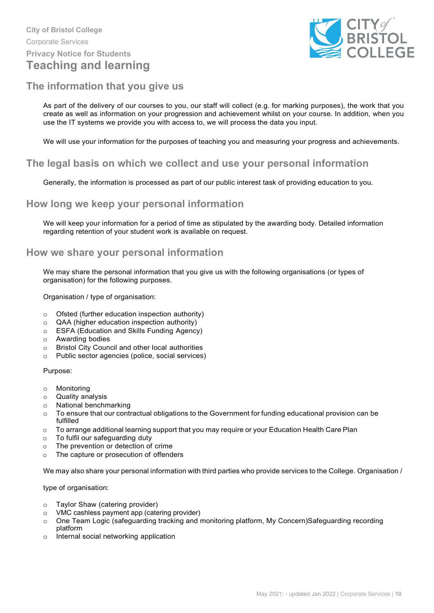

#### <span id="page-9-0"></span>**The information that you give us**

As part of the delivery of our courses to you, our staff will collect (e.g. for marking purposes), the work that you create as well as information on your progression and achievement whilst on your course. In addition, when you use the IT systems we provide you with access to, we will process the data you input.

<span id="page-9-1"></span>We will use your information for the purposes of teaching you and measuring your progress and achievements.

#### <span id="page-9-2"></span>**The legal basis on which we collect and use your personal information**

Generally, the information is processed as part of our public interest task of providing education to you.

#### <span id="page-9-3"></span>**How long we keep your personal information**

We will keep your information for a period of time as stipulated by the awarding body. Detailed information regarding retention of your student work is available on request.

#### <span id="page-9-4"></span>**How we share your personal information**

We may share the personal information that you give us with the following organisations (or types of organisation) for the following purposes.

Organisation / type of organisation:

- $\circ$  Ofsted (further education inspection authority)<br>  $\circ$  QAA (higher education inspection authority)
- o QAA (higher education inspection authority)<br>
o ESFA (Education and Skills Funding Agency
- ESFA (Education and Skills Funding Agency)<br>○ Awarding bodies
- o Awarding bodies<br>○ Bristol Citv Coun
- o Bristol City Council and other local authorities<br>
o Public sector agencies (police, social services
- Public sector agencies (police, social services)

Purpose:

- o Monitoring
- o Quality analysis
- $\circ$  National benchmarking<br> $\circ$  To ensure that our contro
- To ensure that our contractual obligations to the Government for funding educational provision can be fulfilled
- $\circ$  To arrange additional learning support that you may require or your Education Health Care Plan
- o To fulfil our safeguarding duty
- o The prevention or detection of crime
- o The capture or prosecution of offenders

We may also share your personal information with third parties who provide services to the College. Organisation /

type of organisation:

- o Taylor Shaw (catering provider)
- $\circ$  VMC cashless payment app (catering provider)<br> $\circ$  One Team Logic (safeguarding tracking and r
- o One Team Logic (safeguarding tracking and monitoring platform, My Concern)Safeguarding recording platform
- o Internal social networking application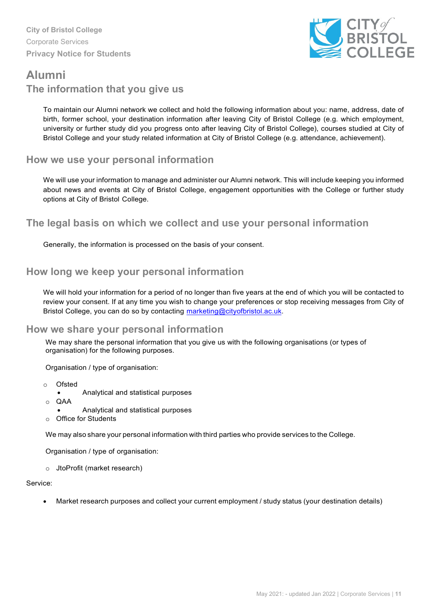

## <span id="page-10-0"></span>**Alumni The information that you give us**

To maintain our Alumni network we collect and hold the following information about you: name, address, date of birth, former school, your destination information after leaving City of Bristol College (e.g. which employment, university or further study did you progress onto after leaving City of Bristol College), courses studied at City of Bristol College and your study related information at City of Bristol College (e.g. attendance, achievement).

#### <span id="page-10-1"></span>**How we use your personal information**

We will use your information to manage and administer our Alumni network. This will include keeping you informed about news and events at City of Bristol College, engagement opportunities with the College or further study options at City of Bristol College.

#### **The legal basis on which we collect and use your personal information**

Generally, the information is processed on the basis of your consent.

#### <span id="page-10-2"></span>**How long we keep your personal information**

We will hold your information for a period of no longer than five years at the end of which you will be contacted to review your consent. If at any time you wish to change your preferences or stop receiving messages from City of Bristol College, you can do so by contacting [marketing@cityofbristol.ac.uk.](mailto:marketing@cityofbristol.ac.uk)

#### <span id="page-10-3"></span>**How we share your personal information**

We may share the personal information that you give us with the following organisations (or types of organisation) for the following purposes.

Organisation / type of organisation:

- o Ofsted
	- Analytical and statistical purposes
- o QAA
	- Analytical and statistical purposes
- **Office for Students**

We may also share your personal information with third parties who provide services to the College.

Organisation / type of organisation:

o JtoProfit (market research)

#### Service:

• Market research purposes and collect your current employment / study status (your destination details)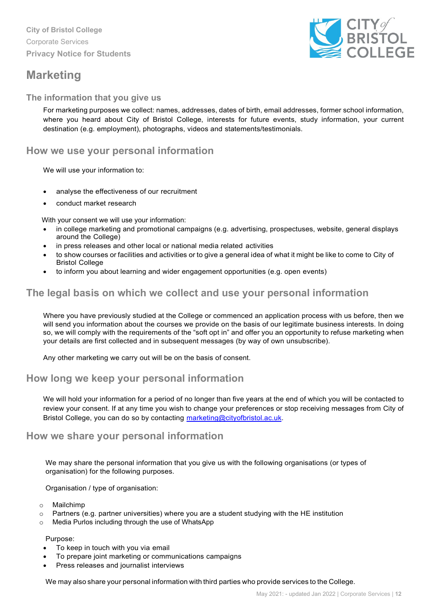### <span id="page-11-0"></span>**Marketing**



#### **The information that you give us**

For marketing purposes we collect: names, addresses, dates of birth, email addresses, former school information, where you heard about City of Bristol College, interests for future events, study information, your current destination (e.g. employment), photographs, videos and statements/testimonials.

#### <span id="page-11-1"></span>**How we use your personal information**

We will use your information to:

- analyse the effectiveness of our recruitment
- conduct market research

With your consent we will use your information:

- in college marketing and promotional campaigns (e.g. advertising, prospectuses, website, general displays around the College)
- in press releases and other local or national media related activities
- to show courses or facilities and activities or to give a general idea of what it might be like to come to City of Bristol College
- to inform you about learning and wider engagement opportunities (e.g. open events)

#### <span id="page-11-2"></span>**The legal basis on which we collect and use your personal information**

Where you have previously studied at the College or commenced an application process with us before, then we will send you information about the courses we provide on the basis of our legitimate business interests. In doing so, we will comply with the requirements of the "soft opt in" and offer you an opportunity to refuse marketing when your details are first collected and in subsequent messages (by way of own unsubscribe).

Any other marketing we carry out will be on the basis of consent.

#### <span id="page-11-3"></span>**How long we keep your personal information**

We will hold your information for a period of no longer than five years at the end of which you will be contacted to review your consent. If at any time you wish to change your preferences or stop receiving messages from City of Bristol College, you can do so by contacting [marketing@cityofbristol.ac.uk.](mailto:marketing@cityofbristol.ac.uk)

#### <span id="page-11-4"></span>**How we share your personal information**

We may share the personal information that you give us with the following organisations (or types of organisation) for the following purposes.

Organisation / type of organisation:

- o Mailchimp
- o Partners (e.g. partner universities) where you are a student studying with the HE institution
- o Media Purlos including through the use of WhatsApp

Purpose:

- To keep in touch with you via email
- To prepare joint marketing or communications campaigns
- Press releases and journalist interviews

We may also share your personal information with third parties who provide services to the College.